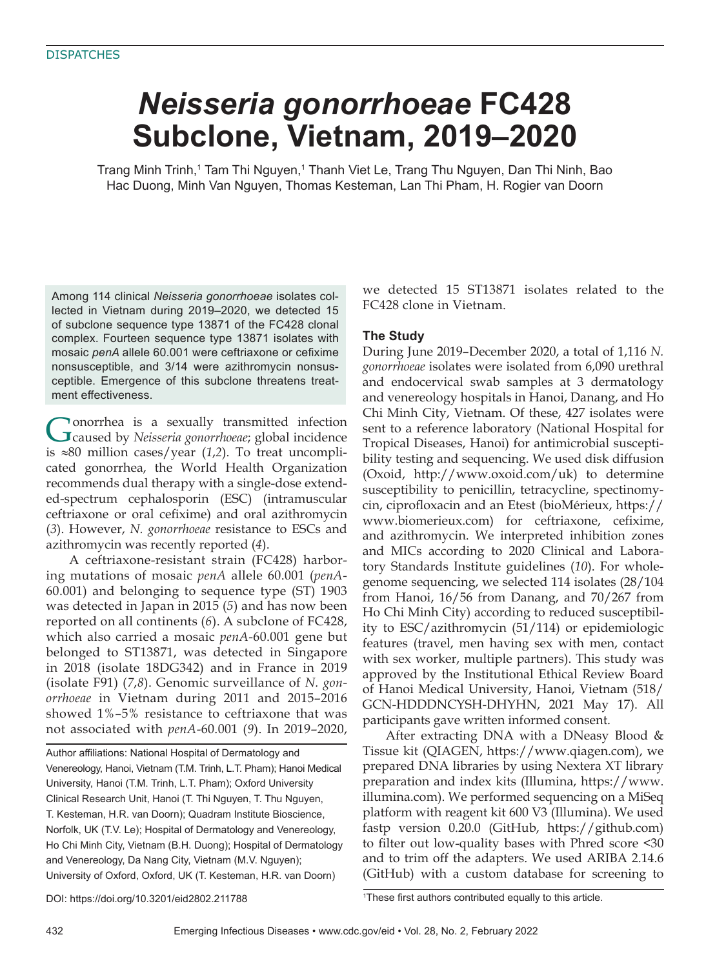# *Neisseria gonorrhoeae* **FC428 Subclone, Vietnam, 2019–2020**

Trang Minh Trinh,<sup>1</sup> Tam Thi Nguyen,<sup>1</sup> Thanh Viet Le, Trang Thu Nguyen, Dan Thi Ninh, Bao Hac Duong, Minh Van Nguyen, Thomas Kesteman, Lan Thi Pham, H. Rogier van Doorn

Among 114 clinical *Neisseria gonorrhoeae* isolates collected in Vietnam during 2019–2020, we detected 15 of subclone sequence type 13871 of the FC428 clonal complex. Fourteen sequence type 13871 isolates with mosaic penA allele 60.001 were ceftriaxone or cefixime nonsusceptible, and 3/14 were azithromycin nonsusceptible. Emergence of this subclone threatens treatment effectiveness.

Gonorrhea is a sexually transmitted infection<br>Caused by *Neisseria gonorrhoeae*; global incidence is ≈80 million cases/year (*1*,*2*). To treat uncomplicated gonorrhea, the World Health Organization recommends dual therapy with a single-dose extended-spectrum cephalosporin (ESC) (intramuscular ceftriaxone or oral cefixime) and oral azithromycin (*3*). However, *N. gonorrhoeae* resistance to ESCs and azithromycin was recently reported (*4*).

A ceftriaxone-resistant strain (FC428) harboring mutations of mosaic *penA* allele 60.001 (*penA*-60.001) and belonging to sequence type (ST) 1903 was detected in Japan in 2015 (*5*) and has now been reported on all continents (*6*). A subclone of FC428, which also carried a mosaic *penA*-60.001 gene but belonged to ST13871, was detected in Singapore in 2018 (isolate 18DG342) and in France in 2019 (isolate F91) (*7*,*8*). Genomic surveillance of *N. gonorrhoeae* in Vietnam during 2011 and 2015–2016 showed 1%–5% resistance to ceftriaxone that was not associated with *penA*-60.001 (*9*). In 2019–2020,

Author affiliations: National Hospital of Dermatology and Venereology, Hanoi, Vietnam (T.M. Trinh, L.T. Pham); Hanoi Medical University, Hanoi (T.M. Trinh, L.T. Pham); Oxford University Clinical Research Unit, Hanoi (T. Thi Nguyen, T. Thu Nguyen, T. Kesteman, H.R. van Doorn); Quadram Institute Bioscience, Norfolk, UK (T.V. Le); Hospital of Dermatology and Venereology, Ho Chi Minh City, Vietnam (B.H. Duong); Hospital of Dermatology and Venereology, Da Nang City, Vietnam (M.V. Nguyen); University of Oxford, Oxford, UK (T. Kesteman, H.R. van Doorn)

we detected 15 ST13871 isolates related to the FC428 clone in Vietnam.

# **The Study**

During June 2019–December 2020, a total of 1,116 *N. gonorrhoeae* isolates were isolated from 6,090 urethral and endocervical swab samples at 3 dermatology and venereology hospitals in Hanoi, Danang, and Ho Chi Minh City, Vietnam. Of these, 427 isolates were sent to a reference laboratory (National Hospital for Tropical Diseases, Hanoi) for antimicrobial susceptibility testing and sequencing. We used disk diffusion (Oxoid, http://www.oxoid.com/uk) to determine susceptibility to penicillin, tetracycline, spectinomycin, ciprofloxacin and an Etest (bioMérieux, https:// www.biomerieux.com) for ceftriaxone, cefixime, and azithromycin. We interpreted inhibition zones and MICs according to 2020 Clinical and Laboratory Standards Institute guidelines (*10*). For wholegenome sequencing, we selected 114 isolates (28/104 from Hanoi, 16/56 from Danang, and 70/267 from Ho Chi Minh City) according to reduced susceptibility to ESC/azithromycin (51/114) or epidemiologic features (travel, men having sex with men, contact with sex worker, multiple partners). This study was approved by the Institutional Ethical Review Board of Hanoi Medical University, Hanoi, Vietnam (518/ GCN-HDDDNCYSH-DHYHN, 2021 May 17). All participants gave written informed consent.

After extracting DNA with a DNeasy Blood & Tissue kit (QIAGEN, https://www.qiagen.com), we prepared DNA libraries by using Nextera XT library preparation and index kits (Illumina, https://www. illumina.com). We performed sequencing on a MiSeq platform with reagent kit 600 V3 (Illumina). We used fastp version 0.20.0 (GitHub, https://github.com) to filter out low-quality bases with Phred score <30 and to trim off the adapters. We used ARIBA 2.14.6 (GitHub) with a custom database for screening to

DOI: https://doi.org/10.3201/eid2802.211788 <sup>1</sup>

<sup>1</sup>These first authors contributed equally to this article.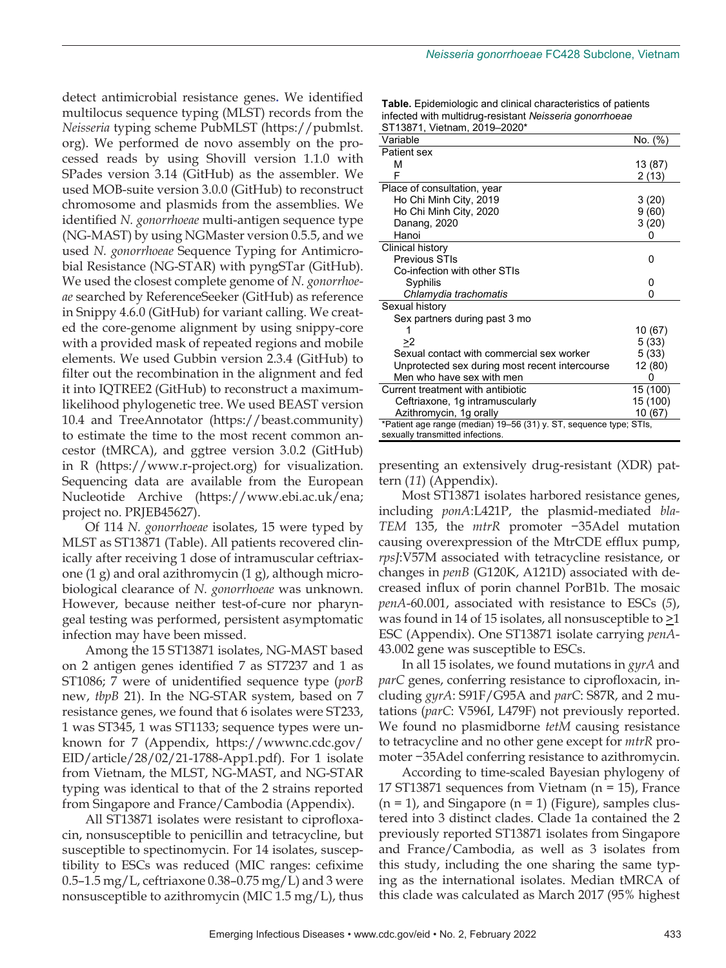detect antimicrobial resistance genes**.** We identified multilocus sequence typing (MLST) records from the *Neisseria* typing scheme PubMLST (https://pubmlst. org). We performed de novo assembly on the processed reads by using Shovill version 1.1.0 with SPades version 3.14 (GitHub) as the assembler. We used MOB-suite version 3.0.0 (GitHub) to reconstruct chromosome and plasmids from the assemblies. We identified *N. gonorrhoeae* multi-antigen sequence type (NG-MAST) by using NGMaster version 0.5.5, and we used *N. gonorrhoeae* Sequence Typing for Antimicrobial Resistance (NG-STAR) with pyngSTar (GitHub). We used the closest complete genome of *N. gonorrhoeae* searched by ReferenceSeeker (GitHub) as reference in Snippy 4.6.0 (GitHub) for variant calling. We created the core-genome alignment by using snippy-core with a provided mask of repeated regions and mobile elements. We used Gubbin version 2.3.4 (GitHub) to filter out the recombination in the alignment and fed it into IQTREE2 (GitHub) to reconstruct a maximumlikelihood phylogenetic tree. We used BEAST version 10.4 and TreeAnnotator (https://beast.community) to estimate the time to the most recent common ancestor (tMRCA), and ggtree version 3.0.2 (GitHub) in R (https://www.r-project.org) for visualization. Sequencing data are available from the European Nucleotide Archive (https://www.ebi.ac.uk/ena; project no. PRJEB45627).

Of 114 *N. gonorrhoeae* isolates, 15 were typed by MLST as ST13871 (Table). All patients recovered clinically after receiving 1 dose of intramuscular ceftriaxone (1 g) and oral azithromycin (1 g), although microbiological clearance of *N. gonorrhoeae* was unknown. However, because neither test-of-cure nor pharyngeal testing was performed, persistent asymptomatic infection may have been missed.

Among the 15 ST13871 isolates, NG-MAST based on 2 antigen genes identified 7 as ST7237 and 1 as ST1086; 7 were of unidentified sequence type (*porB* new, *tbpB* 21). In the NG-STAR system, based on 7 resistance genes, we found that 6 isolates were ST233, 1 was ST345, 1 was ST1133; sequence types were unknown for 7 (Appendix, https://wwwnc.cdc.gov/ EID/article/28/02/21-1788-App1.pdf). For 1 isolate from Vietnam, the MLST, NG-MAST, and NG-STAR typing was identical to that of the 2 strains reported from Singapore and France/Cambodia (Appendix).

All ST13871 isolates were resistant to ciprofloxacin, nonsusceptible to penicillin and tetracycline, but susceptible to spectinomycin. For 14 isolates, susceptibility to ESCs was reduced (MIC ranges: cefixime 0.5–1.5 mg/L, ceftriaxone 0.38–0.75 mg/L) and 3 were nonsusceptible to azithromycin (MIC 1.5 mg/L), thus

| <b>Table.</b> Epidemiologic and clinical characteristics of patients |
|----------------------------------------------------------------------|
| infected with multidrug-resistant Neisseria gonorrhoeae              |
| ST13871, Vietnam, 2019-2020*                                         |

| 0110071, victimum, 2010 2020<br>Variable                           | No. (%)  |
|--------------------------------------------------------------------|----------|
| Patient sex                                                        |          |
| М                                                                  | 13 (87)  |
| F                                                                  | 2 (13)   |
| Place of consultation, year                                        |          |
| Ho Chi Minh City, 2019                                             | 3(20)    |
| Ho Chi Minh City, 2020                                             | 9 (60)   |
| Danang, 2020                                                       | 3(20)    |
| Hanoi                                                              |          |
| Clinical history                                                   |          |
| Previous STIs                                                      | U        |
| Co-infection with other STIs                                       |          |
| Syphilis                                                           | 0        |
| Chlamydia trachomatis                                              | U        |
| Sexual history                                                     |          |
| Sex partners during past 3 mo                                      |          |
|                                                                    | 10 (67)  |
| >2                                                                 | 5(33)    |
| Sexual contact with commercial sex worker                          | 5(33)    |
| Unprotected sex during most recent intercourse                     | 12 (80)  |
| Men who have sex with men                                          |          |
| Current treatment with antibiotic                                  | 15 (100) |
| Ceftriaxone, 1g intramuscularly                                    | 15 (100) |
| Azithromycin, 1g orally                                            | 10 (67)  |
| *Patient age range (median) 19–56 (31) y. ST, sequence type; STIs, |          |
| sexually transmitted infections.                                   |          |

presenting an extensively drug-resistant (XDR) pattern (*11*) (Appendix).

Most ST13871 isolates harbored resistance genes, including *ponA*:L421P, the plasmid-mediated *bla-TEM* 135, the *mtrR* promoter −35Adel mutation causing overexpression of the MtrCDE efflux pump, *rpsJ*:V57M associated with tetracycline resistance, or changes in *penB* (G120K, A121D) associated with decreased influx of porin channel PorB1b. The mosaic *penA*-60.001, associated with resistance to ESCs (*5*), was found in 14 of 15 isolates, all nonsusceptible to  $\geq$ 1 ESC (Appendix). One ST13871 isolate carrying *penA*-43.002 gene was susceptible to ESCs.

In all 15 isolates, we found mutations in *gyrA* and *parC* genes, conferring resistance to ciprofloxacin, including *gyrA*: S91F/G95A and *parC*: S87R, and 2 mutations (*parC*: V596I, L479F) not previously reported. We found no plasmidborne *tetM* causing resistance to tetracycline and no other gene except for *mtrR* promoter −35Adel conferring resistance to azithromycin.

According to time-scaled Bayesian phylogeny of 17 ST13871 sequences from Vietnam (n = 15), France  $(n = 1)$ , and Singapore  $(n = 1)$  (Figure), samples clustered into 3 distinct clades. Clade 1a contained the 2 previously reported ST13871 isolates from Singapore and France/Cambodia, as well as 3 isolates from this study, including the one sharing the same typing as the international isolates. Median tMRCA of this clade was calculated as March 2017 (95% highest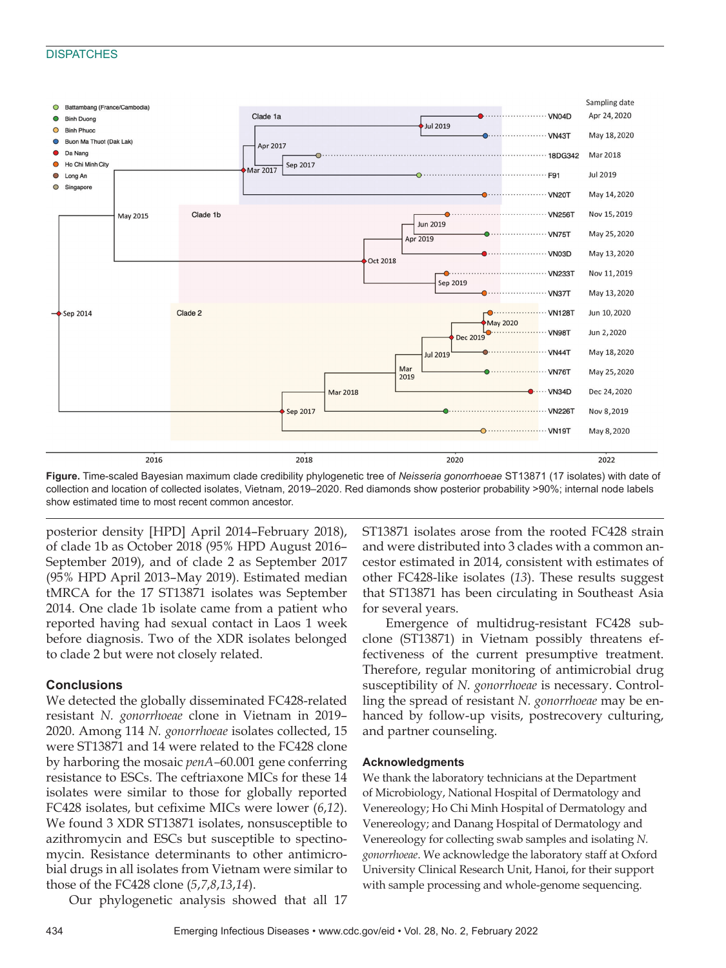#### **DISPATCHES**



**Figure.** Time-scaled Bayesian maximum clade credibility phylogenetic tree of *Neisseria gonorrhoeae* ST13871 (17 isolates) with date of collection and location of collected isolates, Vietnam, 2019–2020. Red diamonds show posterior probability >90%; internal node labels show estimated time to most recent common ancestor.

posterior density [HPD] April 2014–February 2018), of clade 1b as October 2018 (95% HPD August 2016– September 2019), and of clade 2 as September 2017 (95% HPD April 2013–May 2019). Estimated median tMRCA for the 17 ST13871 isolates was September 2014. One clade 1b isolate came from a patient who reported having had sexual contact in Laos 1 week before diagnosis. Two of the XDR isolates belonged to clade 2 but were not closely related.

### **Conclusions**

We detected the globally disseminated FC428-related resistant *N. gonorrhoeae* clone in Vietnam in 2019– 2020. Among 114 *N. gonorrhoeae* isolates collected, 15 were ST13871 and 14 were related to the FC428 clone by harboring the mosaic *penA–*60.001 gene conferring resistance to ESCs. The ceftriaxone MICs for these 14 isolates were similar to those for globally reported FC428 isolates, but cefixime MICs were lower (*6*,*12*). We found 3 XDR ST13871 isolates, nonsusceptible to azithromycin and ESCs but susceptible to spectinomycin. Resistance determinants to other antimicrobial drugs in all isolates from Vietnam were similar to those of the FC428 clone (*5*,*7*,*8*,*13*,*14*).

Our phylogenetic analysis showed that all 17

ST13871 isolates arose from the rooted FC428 strain and were distributed into 3 clades with a common ancestor estimated in 2014, consistent with estimates of other FC428-like isolates (*13*). These results suggest that ST13871 has been circulating in Southeast Asia for several years.

Emergence of multidrug-resistant FC428 subclone (ST13871) in Vietnam possibly threatens effectiveness of the current presumptive treatment. Therefore, regular monitoring of antimicrobial drug susceptibility of *N. gonorrhoeae* is necessary. Controlling the spread of resistant *N. gonorrhoeae* may be enhanced by follow-up visits, postrecovery culturing, and partner counseling.

# **Acknowledgments**

We thank the laboratory technicians at the Department of Microbiology, National Hospital of Dermatology and Venereology; Ho Chi Minh Hospital of Dermatology and Venereology; and Danang Hospital of Dermatology and Venereology for collecting swab samples and isolating *N. gonorrhoeae*. We acknowledge the laboratory staff at Oxford University Clinical Research Unit, Hanoi, for their support with sample processing and whole-genome sequencing.